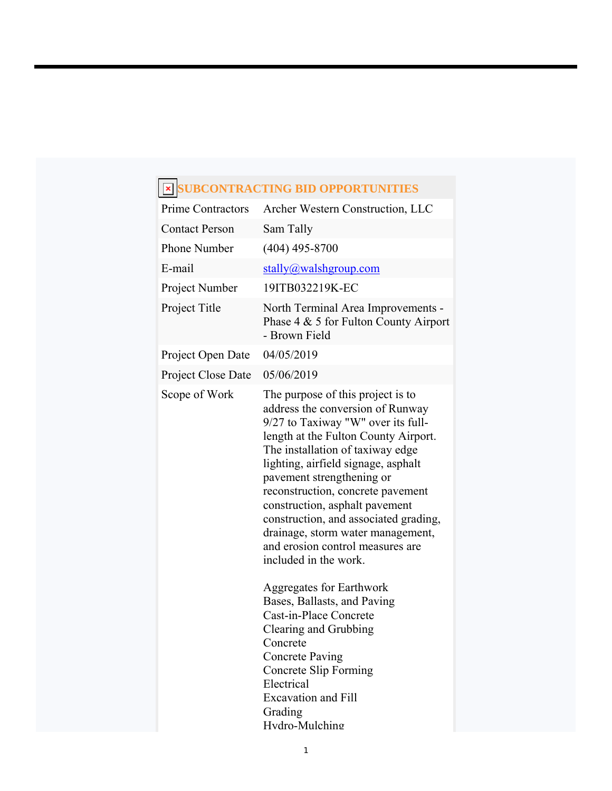## **SUBCONTRACTING BID OPPORTUNITIES**

| <b>Prime Contractors</b> | Archer Western Construction, LLC                                                                                                                                                                                                                                                                                                                                                                                                                                                                                 |
|--------------------------|------------------------------------------------------------------------------------------------------------------------------------------------------------------------------------------------------------------------------------------------------------------------------------------------------------------------------------------------------------------------------------------------------------------------------------------------------------------------------------------------------------------|
| <b>Contact Person</b>    | Sam Tally                                                                                                                                                                                                                                                                                                                                                                                                                                                                                                        |
| <b>Phone Number</b>      | $(404)$ 495-8700                                                                                                                                                                                                                                                                                                                                                                                                                                                                                                 |
| E-mail                   | $stally@walk$ and $group.com$                                                                                                                                                                                                                                                                                                                                                                                                                                                                                    |
| Project Number           | 19ITB032219K-EC                                                                                                                                                                                                                                                                                                                                                                                                                                                                                                  |
| Project Title            | North Terminal Area Improvements -<br>Phase $4 \& 5$ for Fulton County Airport<br>- Brown Field                                                                                                                                                                                                                                                                                                                                                                                                                  |
| Project Open Date        | 04/05/2019                                                                                                                                                                                                                                                                                                                                                                                                                                                                                                       |
| Project Close Date       | 05/06/2019                                                                                                                                                                                                                                                                                                                                                                                                                                                                                                       |
| Scope of Work            | The purpose of this project is to<br>address the conversion of Runway<br>9/27 to Taxiway "W" over its full-<br>length at the Fulton County Airport.<br>The installation of taxiway edge<br>lighting, airfield signage, asphalt<br>pavement strengthening or<br>reconstruction, concrete pavement<br>construction, asphalt pavement<br>construction, and associated grading,<br>drainage, storm water management,<br>and erosion control measures are<br>included in the work.<br><b>Aggregates for Earthwork</b> |
|                          | Bases, Ballasts, and Paving<br>Cast-in-Place Concrete                                                                                                                                                                                                                                                                                                                                                                                                                                                            |
|                          | Clearing and Grubbing                                                                                                                                                                                                                                                                                                                                                                                                                                                                                            |
|                          | Concrete                                                                                                                                                                                                                                                                                                                                                                                                                                                                                                         |
|                          | <b>Concrete Paving</b><br><b>Concrete Slip Forming</b>                                                                                                                                                                                                                                                                                                                                                                                                                                                           |
|                          | Electrical                                                                                                                                                                                                                                                                                                                                                                                                                                                                                                       |
|                          | <b>Excavation and Fill</b><br>Grading                                                                                                                                                                                                                                                                                                                                                                                                                                                                            |
|                          | Hvdro-Mulching                                                                                                                                                                                                                                                                                                                                                                                                                                                                                                   |